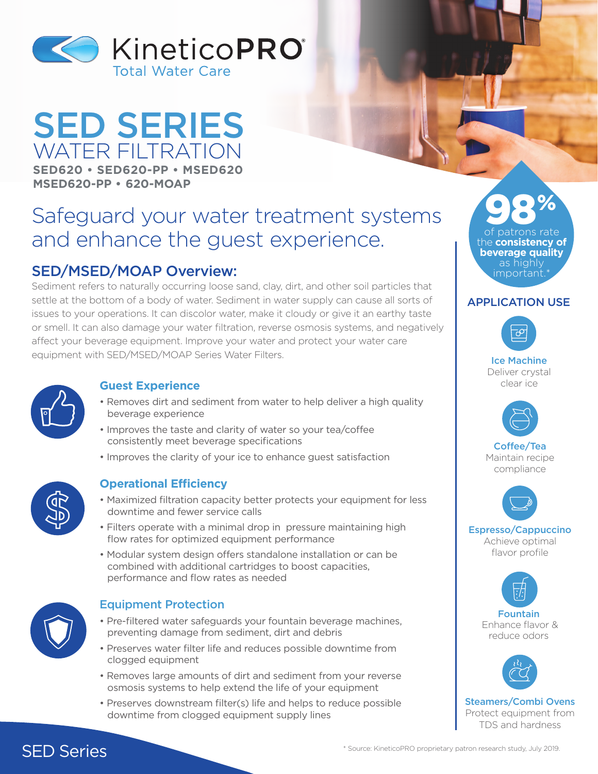

## SED SERIES WATER FILTRATION **SED620 • SED620-PP • MSED620 MSED620-PP • 620-MOAP**

# Safeguard your water treatment systems and enhance the guest experience.

## SED/MSED/MOAP Overview:

Sediment refers to naturally occurring loose sand, clay, dirt, and other soil particles that settle at the bottom of a body of water. Sediment in water supply can cause all sorts of issues to your operations. It can discolor water, make it cloudy or give it an earthy taste or smell. It can also damage your water filtration, reverse osmosis systems, and negatively affect your beverage equipment. Improve your water and protect your water care equipment with SED/MSED/MOAP Series Water Filters.



#### **Guest Experience**

- Removes dirt and sediment from water to help deliver a high quality beverage experience
- Improves the taste and clarity of water so your tea/coffee consistently meet beverage specifications
- Improves the clarity of your ice to enhance guest satisfaction



#### **Operational Efficiency**

- Maximized filtration capacity better protects your equipment for less downtime and fewer service calls
- Filters operate with a minimal drop in pressure maintaining high flow rates for optimized equipment performance
- Modular system design offers standalone installation or can be combined with additional cartridges to boost capacities, performance and flow rates as needed



#### Equipment Protection

- Pre-filtered water safeguards your fountain beverage machines, preventing damage from sediment, dirt and debris
- Preserves water filter life and reduces possible downtime from clogged equipment
- Removes large amounts of dirt and sediment from your reverse osmosis systems to help extend the life of your equipment
- Preserves downstream filter(s) life and helps to reduce possible downtime from clogged equipment supply lines

98% patrons rate the **consistency of beverage quality** as highly important

#### APPLICATION USE



Ice Machine Deliver crystal clear ice



Coffee/Tea Maintain recipe compliance



Espresso/Cappuccino Achieve optimal flavor profile



reduce odors

Steamers/Combi Ovens Protect equipment from TDS and hardness